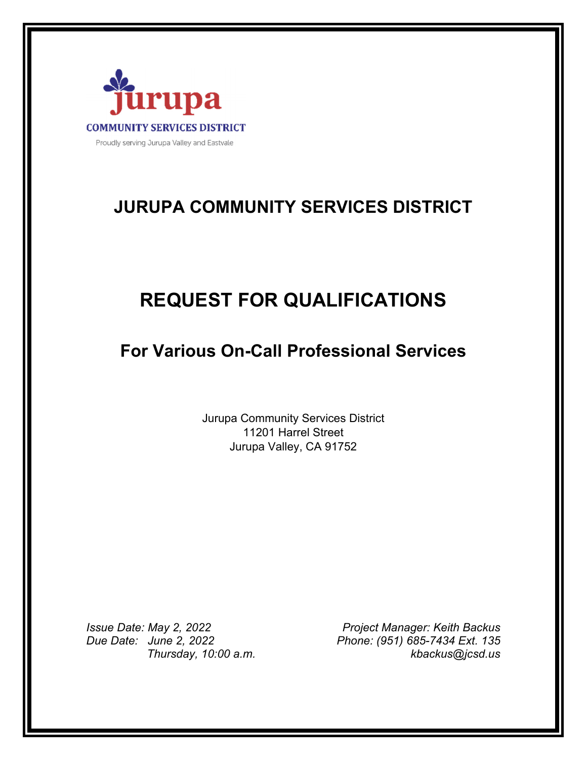

# **JURUPA COMMUNITY SERVICES DISTRICT**

# **REQUEST FOR QUALIFICATIONS**

## **For Various On-Call Professional Services**

Jurupa Community Services District 11201 Harrel Street Jurupa Valley, CA 91752

*Due Date: June 2, 2022 Phone: (951) 685-7434 Ext. 135* 

*Issue Date: May 2, 2022 Project Manager: Keith Backus Thursday, 10:00 a.m. kbackus@jcsd.us*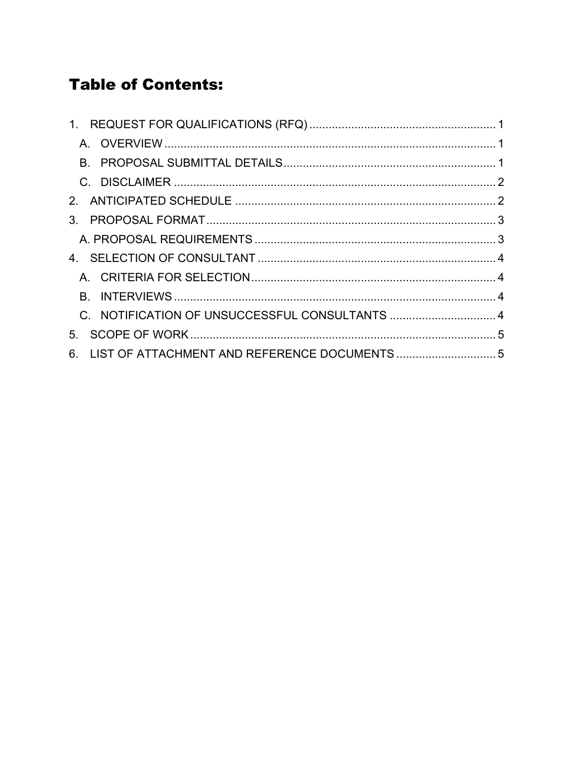# **Table of Contents:**

| $1_{-}$                                             |  |
|-----------------------------------------------------|--|
|                                                     |  |
| B.                                                  |  |
|                                                     |  |
|                                                     |  |
| $\mathcal{S}$                                       |  |
|                                                     |  |
|                                                     |  |
|                                                     |  |
| B.                                                  |  |
|                                                     |  |
| 5 <sub>1</sub>                                      |  |
| LIST OF ATTACHMENT AND REFERENCE DOCUMENTS  5<br>6. |  |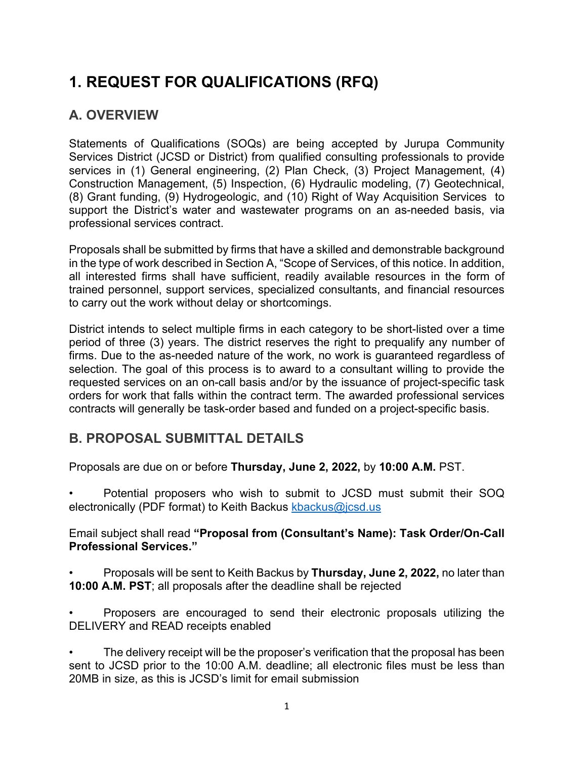# **1. REQUEST FOR QUALIFICATIONS (RFQ)**

### **A. OVERVIEW**

Statements of Qualifications (SOQs) are being accepted by Jurupa Community Services District (JCSD or District) from qualified consulting professionals to provide services in (1) General engineering, (2) Plan Check, (3) Project Management, (4) Construction Management, (5) Inspection, (6) Hydraulic modeling, (7) Geotechnical, (8) Grant funding, (9) Hydrogeologic, and (10) Right of Way Acquisition Services to support the District's water and wastewater programs on an as-needed basis, via professional services contract.

Proposals shall be submitted by firms that have a skilled and demonstrable background in the type of work described in Section A, "Scope of Services, of this notice. In addition, all interested firms shall have sufficient, readily available resources in the form of trained personnel, support services, specialized consultants, and financial resources to carry out the work without delay or shortcomings.

District intends to select multiple firms in each category to be short-listed over a time period of three (3) years. The district reserves the right to prequalify any number of firms. Due to the as-needed nature of the work, no work is guaranteed regardless of selection. The goal of this process is to award to a consultant willing to provide the requested services on an on-call basis and/or by the issuance of project-specific task orders for work that falls within the contract term. The awarded professional services contracts will generally be task-order based and funded on a project-specific basis.

### **B. PROPOSAL SUBMITTAL DETAILS**

Proposals are due on or before **Thursday, June 2, 2022,** by **10:00 A.M.** PST.

• Potential proposers who wish to submit to JCSD must submit their SOQ electronically (PDF format) to Keith Backus kbackus@jcsd.us

### Email subject shall read **"Proposal from (Consultant's Name): Task Order/On-Call Professional Services."**

- Proposals will be sent to Keith Backus by **Thursday, June 2, 2022,** no later than **10:00 A.M. PST**; all proposals after the deadline shall be rejected
- Proposers are encouraged to send their electronic proposals utilizing the DELIVERY and READ receipts enabled

The delivery receipt will be the proposer's verification that the proposal has been sent to JCSD prior to the 10:00 A.M. deadline; all electronic files must be less than 20MB in size, as this is JCSD's limit for email submission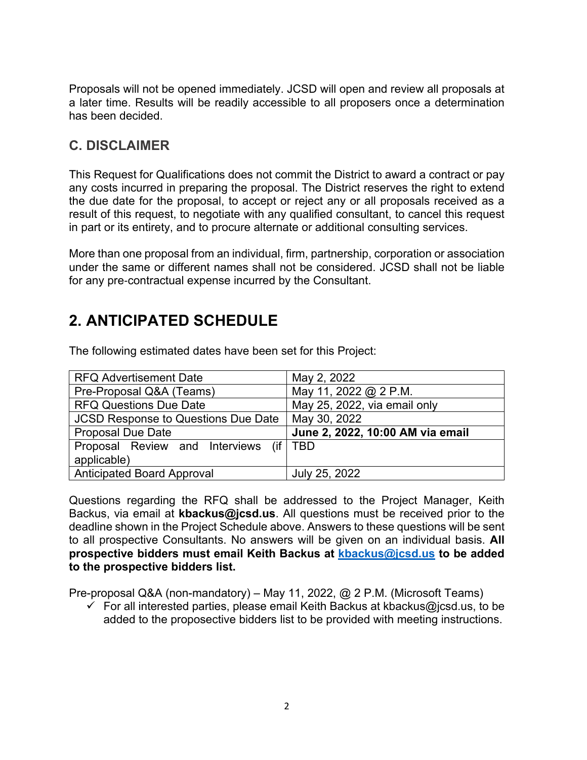Proposals will not be opened immediately. JCSD will open and review all proposals at a later time. Results will be readily accessible to all proposers once a determination has been decided.

### **C. DISCLAIMER**

This Request for Qualifications does not commit the District to award a contract or pay any costs incurred in preparing the proposal. The District reserves the right to extend the due date for the proposal, to accept or reject any or all proposals received as a result of this request, to negotiate with any qualified consultant, to cancel this request in part or its entirety, and to procure alternate or additional consulting services.

More than one proposal from an individual, firm, partnership, corporation or association under the same or different names shall not be considered. JCSD shall not be liable for any pre-contractual expense incurred by the Consultant.

## **2. ANTICIPATED SCHEDULE**

| <b>RFQ Advertisement Date</b>              | May 2, 2022                      |
|--------------------------------------------|----------------------------------|
| Pre-Proposal Q&A (Teams)                   | May 11, 2022 @ 2 P.M.            |
| <b>RFQ Questions Due Date</b>              | May 25, 2022, via email only     |
| <b>JCSD Response to Questions Due Date</b> | May 30, 2022                     |
| <b>Proposal Due Date</b>                   | June 2, 2022, 10:00 AM via email |
| Proposal Review and Interviews (if   TBD   |                                  |
| applicable)                                |                                  |
|                                            |                                  |

The following estimated dates have been set for this Project:

Questions regarding the RFQ shall be addressed to the Project Manager, Keith Backus, via email at **kbackus@jcsd.us**. All questions must be received prior to the deadline shown in the Project Schedule above. Answers to these questions will be sent to all prospective Consultants. No answers will be given on an individual basis. **All prospective bidders must email Keith Backus at kbackus@jcsd.us to be added to the prospective bidders list.**

Pre-proposal Q&A (non-mandatory) – May 11, 2022, @ 2 P.M. (Microsoft Teams)

 $\checkmark$  For all interested parties, please email Keith Backus at kbackus@jcsd.us, to be added to the proposective bidders list to be provided with meeting instructions.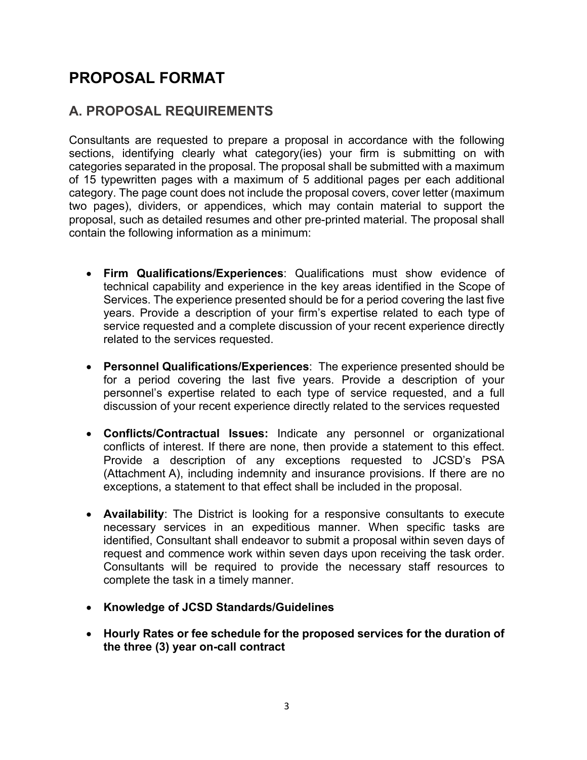## **PROPOSAL FORMAT**

### **A. PROPOSAL REQUIREMENTS**

Consultants are requested to prepare a proposal in accordance with the following sections, identifying clearly what category(ies) your firm is submitting on with categories separated in the proposal. The proposal shall be submitted with a maximum of 15 typewritten pages with a maximum of 5 additional pages per each additional category. The page count does not include the proposal covers, cover letter (maximum two pages), dividers, or appendices, which may contain material to support the proposal, such as detailed resumes and other pre-printed material. The proposal shall contain the following information as a minimum:

- **Firm Qualifications/Experiences**: Qualifications must show evidence of technical capability and experience in the key areas identified in the Scope of Services. The experience presented should be for a period covering the last five years. Provide a description of your firm's expertise related to each type of service requested and a complete discussion of your recent experience directly related to the services requested.
- **Personnel Qualifications/Experiences**: The experience presented should be for a period covering the last five years. Provide a description of your personnel's expertise related to each type of service requested, and a full discussion of your recent experience directly related to the services requested
- **Conflicts/Contractual Issues:** Indicate any personnel or organizational conflicts of interest. If there are none, then provide a statement to this effect. Provide a description of any exceptions requested to JCSD's PSA (Attachment A), including indemnity and insurance provisions. If there are no exceptions, a statement to that effect shall be included in the proposal.
- **Availability**: The District is looking for a responsive consultants to execute necessary services in an expeditious manner. When specific tasks are identified, Consultant shall endeavor to submit a proposal within seven days of request and commence work within seven days upon receiving the task order. Consultants will be required to provide the necessary staff resources to complete the task in a timely manner.
- **Knowledge of JCSD Standards/Guidelines**
- **Hourly Rates or fee schedule for the proposed services for the duration of the three (3) year on-call contract**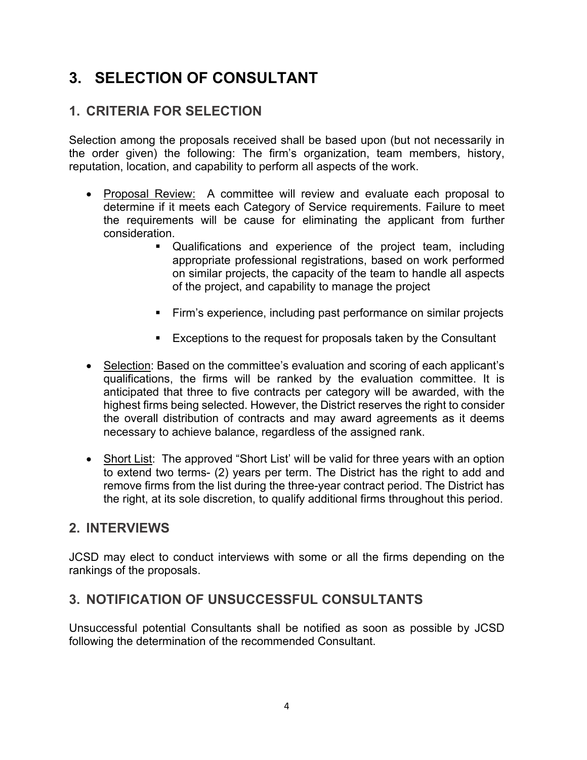## **3. SELECTION OF CONSULTANT**

### **1. CRITERIA FOR SELECTION**

Selection among the proposals received shall be based upon (but not necessarily in the order given) the following: The firm's organization, team members, history, reputation, location, and capability to perform all aspects of the work.

- Proposal Review: A committee will review and evaluate each proposal to determine if it meets each Category of Service requirements. Failure to meet the requirements will be cause for eliminating the applicant from further consideration.
	- Qualifications and experience of the project team, including appropriate professional registrations, based on work performed on similar projects, the capacity of the team to handle all aspects of the project, and capability to manage the project
	- Firm's experience, including past performance on similar projects
	- **Exceptions to the request for proposals taken by the Consultant**
- Selection: Based on the committee's evaluation and scoring of each applicant's qualifications, the firms will be ranked by the evaluation committee. It is anticipated that three to five contracts per category will be awarded, with the highest firms being selected. However, the District reserves the right to consider the overall distribution of contracts and may award agreements as it deems necessary to achieve balance, regardless of the assigned rank.
- Short List: The approved "Short List' will be valid for three years with an option to extend two terms- (2) years per term. The District has the right to add and remove firms from the list during the three-year contract period. The District has the right, at its sole discretion, to qualify additional firms throughout this period.

### **2. INTERVIEWS**

JCSD may elect to conduct interviews with some or all the firms depending on the rankings of the proposals.

### **3. NOTIFICATION OF UNSUCCESSFUL CONSULTANTS**

Unsuccessful potential Consultants shall be notified as soon as possible by JCSD following the determination of the recommended Consultant.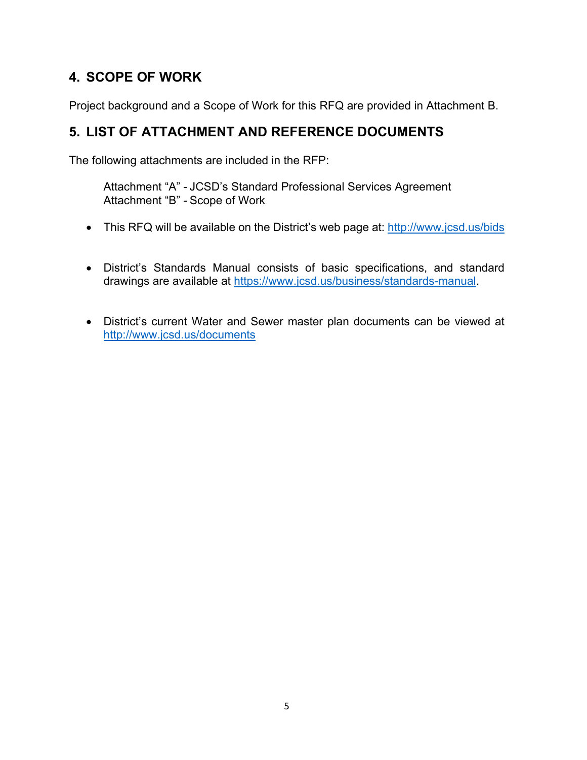### **4. SCOPE OF WORK**

Project background and a Scope of Work for this RFQ are provided in Attachment B.

### **5. LIST OF ATTACHMENT AND REFERENCE DOCUMENTS**

The following attachments are included in the RFP:

Attachment "A" - JCSD's Standard Professional Services Agreement Attachment "B" - Scope of Work

- This RFQ will be available on the District's web page at: http://www.jcsd.us/bids
- District's Standards Manual consists of basic specifications, and standard drawings are available at https://www.jcsd.us/business/standards-manual.
- District's current Water and Sewer master plan documents can be viewed at http://www.jcsd.us/documents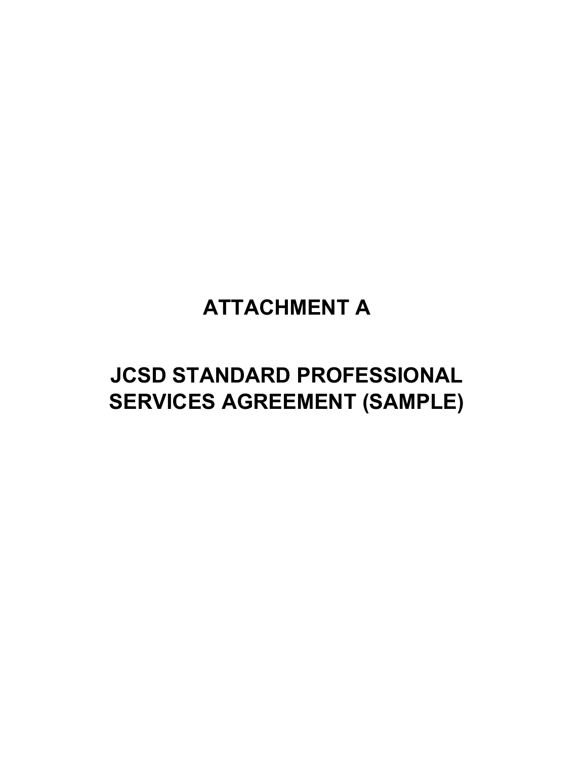# **ATTACHMENT A**

# **JCSD STANDARD PROFESSIONAL SERVICES AGREEMENT (SAMPLE)**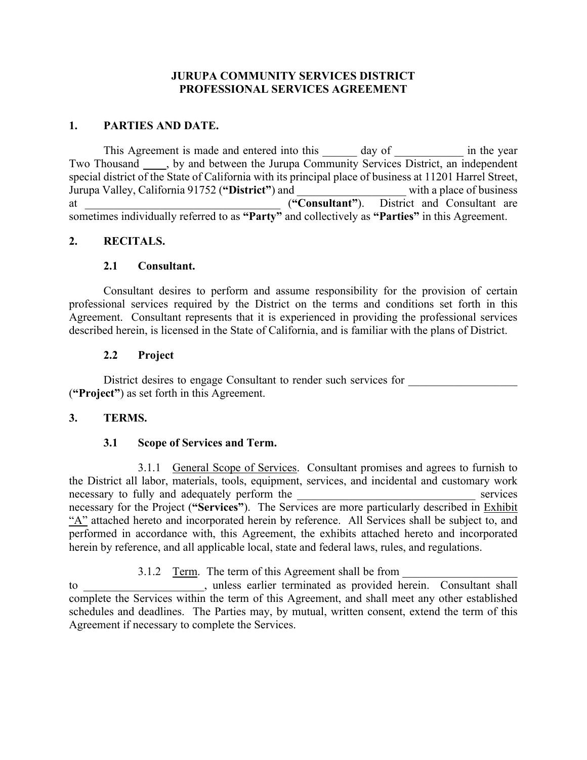### **JURUPA COMMUNITY SERVICES DISTRICT PROFESSIONAL SERVICES AGREEMENT**

### **1. PARTIES AND DATE.**

This Agreement is made and entered into this day of in the year Two Thousand  $\blacksquare$ , by and between the Jurupa Community Services District, an independent special district of the State of California with its principal place of business at 11201 Harrel Street,<br>Jurupa Valley, California 91752 ("District") and with a place of business Jurupa Valley, California 91752 ("District") and at \_\_\_\_\_\_\_\_\_\_\_\_\_\_\_\_\_\_\_\_\_\_\_\_\_\_\_\_\_\_\_\_\_\_ (**"Consultant"**). District and Consultant are sometimes individually referred to as **"Party"** and collectively as **"Parties"** in this Agreement.

### **2. RECITALS.**

### **2.1 Consultant.**

Consultant desires to perform and assume responsibility for the provision of certain professional services required by the District on the terms and conditions set forth in this Agreement. Consultant represents that it is experienced in providing the professional services described herein, is licensed in the State of California, and is familiar with the plans of District.

### **2.2 Project**

District desires to engage Consultant to render such services for (**"Project"**) as set forth in this Agreement.

### **3. TERMS.**

### **3.1 Scope of Services and Term.**

3.1.1 General Scope of Services. Consultant promises and agrees to furnish to the District all labor, materials, tools, equipment, services, and incidental and customary work necessary to fully and adequately perform the services necessary for the Project (**"Services"**). The Services are more particularly described in Exhibit "A" attached hereto and incorporated herein by reference. All Services shall be subject to, and performed in accordance with, this Agreement, the exhibits attached hereto and incorporated herein by reference, and all applicable local, state and federal laws, rules, and regulations.

3.1.2 Term. The term of this Agreement shall be from

to \_\_\_\_\_\_\_\_\_\_\_\_\_\_\_\_\_\_\_\_\_, unless earlier terminated as provided herein. Consultant shall complete the Services within the term of this Agreement, and shall meet any other established schedules and deadlines. The Parties may, by mutual, written consent, extend the term of this Agreement if necessary to complete the Services.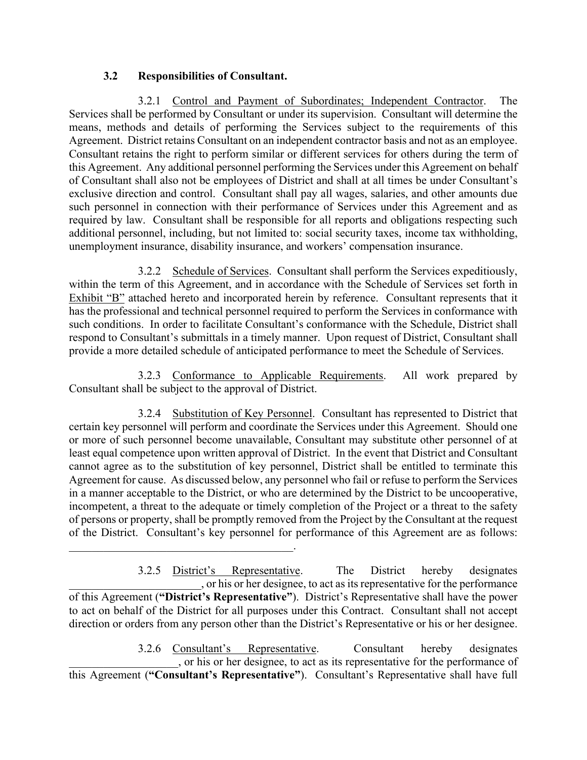### **3.2 Responsibilities of Consultant.**

 $\overline{\phantom{a}}$  , and the set of the set of the set of the set of the set of the set of the set of the set of the set of the set of the set of the set of the set of the set of the set of the set of the set of the set of the s

3.2.1 Control and Payment of Subordinates; Independent Contractor. The Services shall be performed by Consultant or under its supervision. Consultant will determine the means, methods and details of performing the Services subject to the requirements of this Agreement. District retains Consultant on an independent contractor basis and not as an employee. Consultant retains the right to perform similar or different services for others during the term of this Agreement. Any additional personnel performing the Services under this Agreement on behalf of Consultant shall also not be employees of District and shall at all times be under Consultant's exclusive direction and control. Consultant shall pay all wages, salaries, and other amounts due such personnel in connection with their performance of Services under this Agreement and as required by law. Consultant shall be responsible for all reports and obligations respecting such additional personnel, including, but not limited to: social security taxes, income tax withholding, unemployment insurance, disability insurance, and workers' compensation insurance.

3.2.2 Schedule of Services. Consultant shall perform the Services expeditiously, within the term of this Agreement, and in accordance with the Schedule of Services set forth in Exhibit "B" attached hereto and incorporated herein by reference. Consultant represents that it has the professional and technical personnel required to perform the Services in conformance with such conditions. In order to facilitate Consultant's conformance with the Schedule, District shall respond to Consultant's submittals in a timely manner. Upon request of District, Consultant shall provide a more detailed schedule of anticipated performance to meet the Schedule of Services.

3.2.3 Conformance to Applicable Requirements. All work prepared by Consultant shall be subject to the approval of District.

3.2.4 Substitution of Key Personnel. Consultant has represented to District that certain key personnel will perform and coordinate the Services under this Agreement. Should one or more of such personnel become unavailable, Consultant may substitute other personnel of at least equal competence upon written approval of District. In the event that District and Consultant cannot agree as to the substitution of key personnel, District shall be entitled to terminate this Agreement for cause. As discussed below, any personnel who fail or refuse to perform the Services in a manner acceptable to the District, or who are determined by the District to be uncooperative, incompetent, a threat to the adequate or timely completion of the Project or a threat to the safety of persons or property, shall be promptly removed from the Project by the Consultant at the request of the District. Consultant's key personnel for performance of this Agreement are as follows:

3.2.5 District's Representative. The District hereby designates \_\_\_\_\_\_\_\_\_\_\_\_\_\_\_\_\_\_\_\_\_\_\_, or his or her designee, to act as its representative for the performance of this Agreement (**"District's Representative"**). District's Representative shall have the power to act on behalf of the District for all purposes under this Contract. Consultant shall not accept direction or orders from any person other than the District's Representative or his or her designee.

3.2.6 Consultant's Representative. Consultant hereby designates \_\_\_\_\_\_\_\_\_\_\_\_\_\_\_\_\_\_\_, or his or her designee, to act as its representative for the performance of this Agreement (**"Consultant's Representative"**). Consultant's Representative shall have full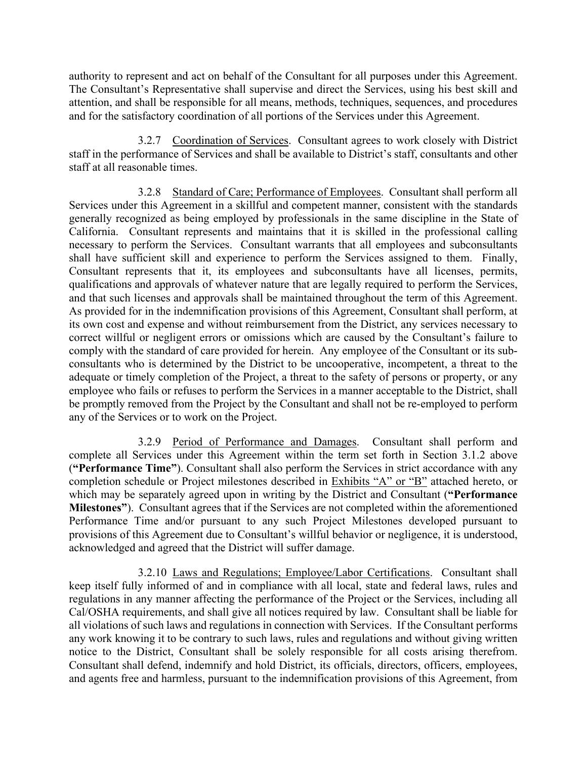authority to represent and act on behalf of the Consultant for all purposes under this Agreement. The Consultant's Representative shall supervise and direct the Services, using his best skill and attention, and shall be responsible for all means, methods, techniques, sequences, and procedures and for the satisfactory coordination of all portions of the Services under this Agreement.

3.2.7 Coordination of Services. Consultant agrees to work closely with District staff in the performance of Services and shall be available to District's staff, consultants and other staff at all reasonable times.

3.2.8 Standard of Care; Performance of Employees. Consultant shall perform all Services under this Agreement in a skillful and competent manner, consistent with the standards generally recognized as being employed by professionals in the same discipline in the State of California. Consultant represents and maintains that it is skilled in the professional calling necessary to perform the Services. Consultant warrants that all employees and subconsultants shall have sufficient skill and experience to perform the Services assigned to them. Finally, Consultant represents that it, its employees and subconsultants have all licenses, permits, qualifications and approvals of whatever nature that are legally required to perform the Services, and that such licenses and approvals shall be maintained throughout the term of this Agreement. As provided for in the indemnification provisions of this Agreement, Consultant shall perform, at its own cost and expense and without reimbursement from the District, any services necessary to correct willful or negligent errors or omissions which are caused by the Consultant's failure to comply with the standard of care provided for herein. Any employee of the Consultant or its subconsultants who is determined by the District to be uncooperative, incompetent, a threat to the adequate or timely completion of the Project, a threat to the safety of persons or property, or any employee who fails or refuses to perform the Services in a manner acceptable to the District, shall be promptly removed from the Project by the Consultant and shall not be re-employed to perform any of the Services or to work on the Project.

3.2.9 Period of Performance and Damages. Consultant shall perform and complete all Services under this Agreement within the term set forth in Section 3.1.2 above (**"Performance Time"**). Consultant shall also perform the Services in strict accordance with any completion schedule or Project milestones described in Exhibits "A" or "B" attached hereto, or which may be separately agreed upon in writing by the District and Consultant (**"Performance Milestones"**). Consultant agrees that if the Services are not completed within the aforementioned Performance Time and/or pursuant to any such Project Milestones developed pursuant to provisions of this Agreement due to Consultant's willful behavior or negligence, it is understood, acknowledged and agreed that the District will suffer damage.

3.2.10 Laws and Regulations; Employee/Labor Certifications. Consultant shall keep itself fully informed of and in compliance with all local, state and federal laws, rules and regulations in any manner affecting the performance of the Project or the Services, including all Cal/OSHA requirements, and shall give all notices required by law. Consultant shall be liable for all violations of such laws and regulations in connection with Services. If the Consultant performs any work knowing it to be contrary to such laws, rules and regulations and without giving written notice to the District, Consultant shall be solely responsible for all costs arising therefrom. Consultant shall defend, indemnify and hold District, its officials, directors, officers, employees, and agents free and harmless, pursuant to the indemnification provisions of this Agreement, from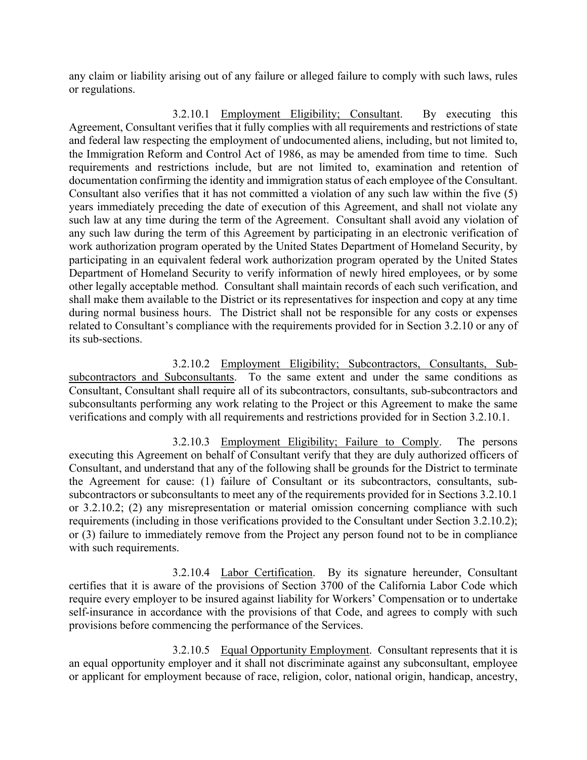any claim or liability arising out of any failure or alleged failure to comply with such laws, rules or regulations.

3.2.10.1 Employment Eligibility; Consultant. By executing this Agreement, Consultant verifies that it fully complies with all requirements and restrictions of state and federal law respecting the employment of undocumented aliens, including, but not limited to, the Immigration Reform and Control Act of 1986, as may be amended from time to time. Such requirements and restrictions include, but are not limited to, examination and retention of documentation confirming the identity and immigration status of each employee of the Consultant. Consultant also verifies that it has not committed a violation of any such law within the five (5) years immediately preceding the date of execution of this Agreement, and shall not violate any such law at any time during the term of the Agreement. Consultant shall avoid any violation of any such law during the term of this Agreement by participating in an electronic verification of work authorization program operated by the United States Department of Homeland Security, by participating in an equivalent federal work authorization program operated by the United States Department of Homeland Security to verify information of newly hired employees, or by some other legally acceptable method. Consultant shall maintain records of each such verification, and shall make them available to the District or its representatives for inspection and copy at any time during normal business hours. The District shall not be responsible for any costs or expenses related to Consultant's compliance with the requirements provided for in Section 3.2.10 or any of its sub-sections.

3.2.10.2 Employment Eligibility; Subcontractors, Consultants, Subsubcontractors and Subconsultants. To the same extent and under the same conditions as Consultant, Consultant shall require all of its subcontractors, consultants, sub-subcontractors and subconsultants performing any work relating to the Project or this Agreement to make the same verifications and comply with all requirements and restrictions provided for in Section 3.2.10.1.

3.2.10.3 Employment Eligibility; Failure to Comply. The persons executing this Agreement on behalf of Consultant verify that they are duly authorized officers of Consultant, and understand that any of the following shall be grounds for the District to terminate the Agreement for cause: (1) failure of Consultant or its subcontractors, consultants, subsubcontractors or subconsultants to meet any of the requirements provided for in Sections 3.2.10.1 or 3.2.10.2; (2) any misrepresentation or material omission concerning compliance with such requirements (including in those verifications provided to the Consultant under Section 3.2.10.2); or (3) failure to immediately remove from the Project any person found not to be in compliance with such requirements.

3.2.10.4 Labor Certification. By its signature hereunder, Consultant certifies that it is aware of the provisions of Section 3700 of the California Labor Code which require every employer to be insured against liability for Workers' Compensation or to undertake self-insurance in accordance with the provisions of that Code, and agrees to comply with such provisions before commencing the performance of the Services.

3.2.10.5 Equal Opportunity Employment. Consultant represents that it is an equal opportunity employer and it shall not discriminate against any subconsultant, employee or applicant for employment because of race, religion, color, national origin, handicap, ancestry,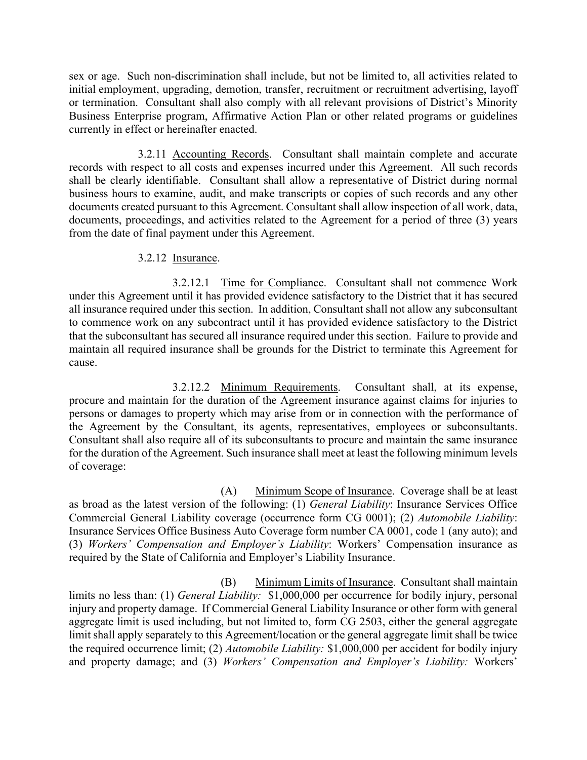sex or age. Such non-discrimination shall include, but not be limited to, all activities related to initial employment, upgrading, demotion, transfer, recruitment or recruitment advertising, layoff or termination. Consultant shall also comply with all relevant provisions of District's Minority Business Enterprise program, Affirmative Action Plan or other related programs or guidelines currently in effect or hereinafter enacted.

3.2.11 Accounting Records. Consultant shall maintain complete and accurate records with respect to all costs and expenses incurred under this Agreement. All such records shall be clearly identifiable. Consultant shall allow a representative of District during normal business hours to examine, audit, and make transcripts or copies of such records and any other documents created pursuant to this Agreement. Consultant shall allow inspection of all work, data, documents, proceedings, and activities related to the Agreement for a period of three (3) years from the date of final payment under this Agreement.

### 3.2.12 Insurance.

3.2.12.1 Time for Compliance. Consultant shall not commence Work under this Agreement until it has provided evidence satisfactory to the District that it has secured all insurance required under this section. In addition, Consultant shall not allow any subconsultant to commence work on any subcontract until it has provided evidence satisfactory to the District that the subconsultant has secured all insurance required under this section. Failure to provide and maintain all required insurance shall be grounds for the District to terminate this Agreement for cause.

3.2.12.2 Minimum Requirements. Consultant shall, at its expense, procure and maintain for the duration of the Agreement insurance against claims for injuries to persons or damages to property which may arise from or in connection with the performance of the Agreement by the Consultant, its agents, representatives, employees or subconsultants. Consultant shall also require all of its subconsultants to procure and maintain the same insurance for the duration of the Agreement. Such insurance shall meet at least the following minimum levels of coverage:

(A) Minimum Scope of Insurance. Coverage shall be at least as broad as the latest version of the following: (1) *General Liability*: Insurance Services Office Commercial General Liability coverage (occurrence form CG 0001); (2) *Automobile Liability*: Insurance Services Office Business Auto Coverage form number CA 0001, code 1 (any auto); and (3) *Workers' Compensation and Employer's Liability*: Workers' Compensation insurance as required by the State of California and Employer's Liability Insurance.

(B) Minimum Limits of Insurance. Consultant shall maintain limits no less than: (1) *General Liability:* \$1,000,000 per occurrence for bodily injury, personal injury and property damage. If Commercial General Liability Insurance or other form with general aggregate limit is used including, but not limited to, form CG 2503, either the general aggregate limit shall apply separately to this Agreement/location or the general aggregate limit shall be twice the required occurrence limit; (2) *Automobile Liability:* \$1,000,000 per accident for bodily injury and property damage; and (3) *Workers' Compensation and Employer's Liability:* Workers'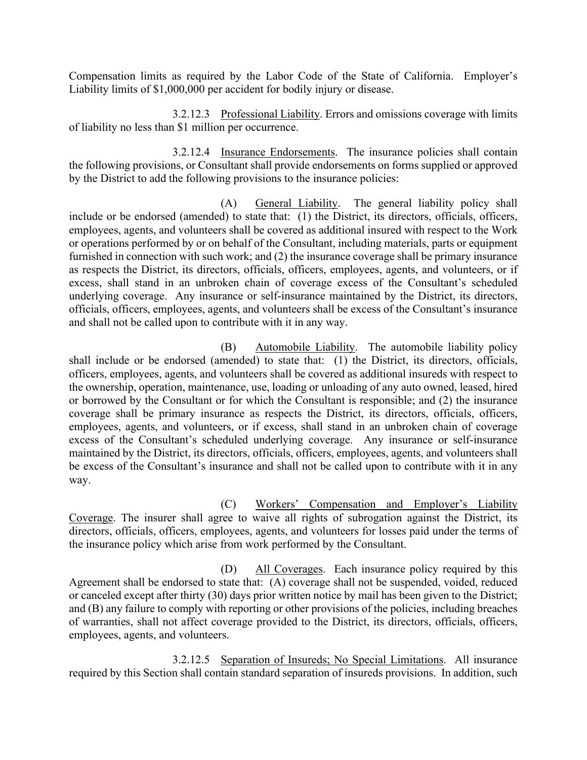Compensation limits as required by the Labor Code of the State of California. Employer's Liability limits of \$1,000,000 per accident for bodily injury or disease.

3.2.12.3 Professional Liability. Errors and omissions coverage with limits of liability no less than \$1 million per occurrence.

3.2.12.4 Insurance Endorsements. The insurance policies shall contain the following provisions, or Consultant shall provide endorsements on forms supplied or approved by the District to add the following provisions to the insurance policies:

(A) General Liability. The general liability policy shall include or be endorsed (amended) to state that: (1) the District, its directors, officials, officers, employees, agents, and volunteers shall be covered as additional insured with respect to the Work or operations performed by or on behalf of the Consultant, including materials, parts or equipment furnished in connection with such work; and (2) the insurance coverage shall be primary insurance as respects the District, its directors, officials, officers, employees, agents, and volunteers, or if excess, shall stand in an unbroken chain of coverage excess of the Consultant's scheduled underlying coverage. Any insurance or self-insurance maintained by the District, its directors, officials, officers, employees, agents, and volunteers shall be excess of the Consultant's insurance and shall not be called upon to contribute with it in any way.

(B) Automobile Liability. The automobile liability policy shall include or be endorsed (amended) to state that: (1) the District, its directors, officials, officers, employees, agents, and volunteers shall be covered as additional insureds with respect to the ownership, operation, maintenance, use, loading or unloading of any auto owned, leased, hired or borrowed by the Consultant or for which the Consultant is responsible; and (2) the insurance coverage shall be primary insurance as respects the District, its directors, officials, officers, employees, agents, and volunteers, or if excess, shall stand in an unbroken chain of coverage excess of the Consultant's scheduled underlying coverage. Any insurance or self-insurance maintained by the District, its directors, officials, officers, employees, agents, and volunteers shall be excess of the Consultant's insurance and shall not be called upon to contribute with it in any way.

(C) Workers' Compensation and Employer's Liability Coverage. The insurer shall agree to waive all rights of subrogation against the District, its directors, officials, officers, employees, agents, and volunteers for losses paid under the terms of the insurance policy which arise from work performed by the Consultant.

(D) All Coverages. Each insurance policy required by this Agreement shall be endorsed to state that: (A) coverage shall not be suspended, voided, reduced or canceled except after thirty (30) days prior written notice by mail has been given to the District; and (B) any failure to comply with reporting or other provisions of the policies, including breaches of warranties, shall not affect coverage provided to the District, its directors, officials, officers, employees, agents, and volunteers.

3.2.12.5 Separation of Insureds; No Special Limitations. All insurance required by this Section shall contain standard separation of insureds provisions. In addition, such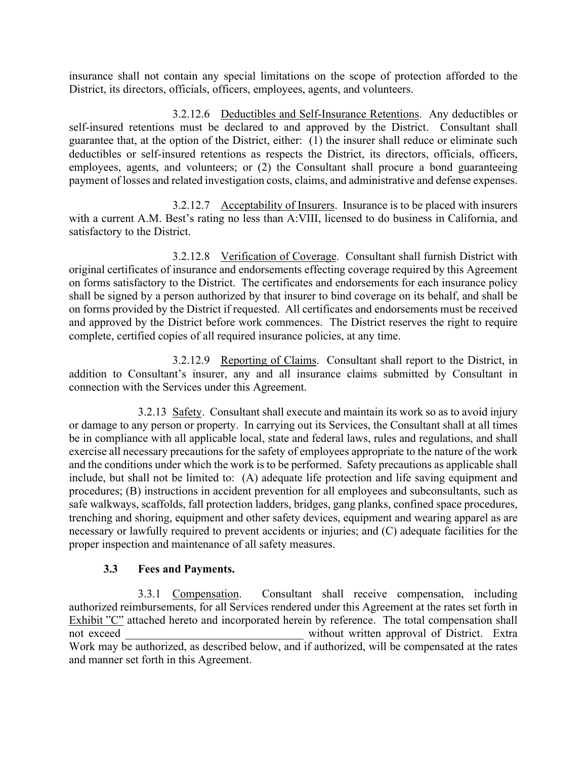insurance shall not contain any special limitations on the scope of protection afforded to the District, its directors, officials, officers, employees, agents, and volunteers.

3.2.12.6 Deductibles and Self-Insurance Retentions. Any deductibles or self-insured retentions must be declared to and approved by the District. Consultant shall guarantee that, at the option of the District, either: (1) the insurer shall reduce or eliminate such deductibles or self-insured retentions as respects the District, its directors, officials, officers, employees, agents, and volunteers; or (2) the Consultant shall procure a bond guaranteeing payment of losses and related investigation costs, claims, and administrative and defense expenses.

3.2.12.7 Acceptability of Insurers. Insurance is to be placed with insurers with a current A.M. Best's rating no less than A:VIII, licensed to do business in California, and satisfactory to the District.

3.2.12.8 Verification of Coverage. Consultant shall furnish District with original certificates of insurance and endorsements effecting coverage required by this Agreement on forms satisfactory to the District. The certificates and endorsements for each insurance policy shall be signed by a person authorized by that insurer to bind coverage on its behalf, and shall be on forms provided by the District if requested. All certificates and endorsements must be received and approved by the District before work commences. The District reserves the right to require complete, certified copies of all required insurance policies, at any time.

3.2.12.9 Reporting of Claims. Consultant shall report to the District, in addition to Consultant's insurer, any and all insurance claims submitted by Consultant in connection with the Services under this Agreement.

3.2.13 Safety. Consultant shall execute and maintain its work so as to avoid injury or damage to any person or property. In carrying out its Services, the Consultant shall at all times be in compliance with all applicable local, state and federal laws, rules and regulations, and shall exercise all necessary precautions for the safety of employees appropriate to the nature of the work and the conditions under which the work is to be performed. Safety precautions as applicable shall include, but shall not be limited to: (A) adequate life protection and life saving equipment and procedures; (B) instructions in accident prevention for all employees and subconsultants, such as safe walkways, scaffolds, fall protection ladders, bridges, gang planks, confined space procedures, trenching and shoring, equipment and other safety devices, equipment and wearing apparel as are necessary or lawfully required to prevent accidents or injuries; and (C) adequate facilities for the proper inspection and maintenance of all safety measures.

### **3.3 Fees and Payments.**

3.3.1 Compensation. Consultant shall receive compensation, including authorized reimbursements, for all Services rendered under this Agreement at the rates set forth in Exhibit "C" attached hereto and incorporated herein by reference. The total compensation shall not exceed without written approval of District. Extra Work may be authorized, as described below, and if authorized, will be compensated at the rates and manner set forth in this Agreement.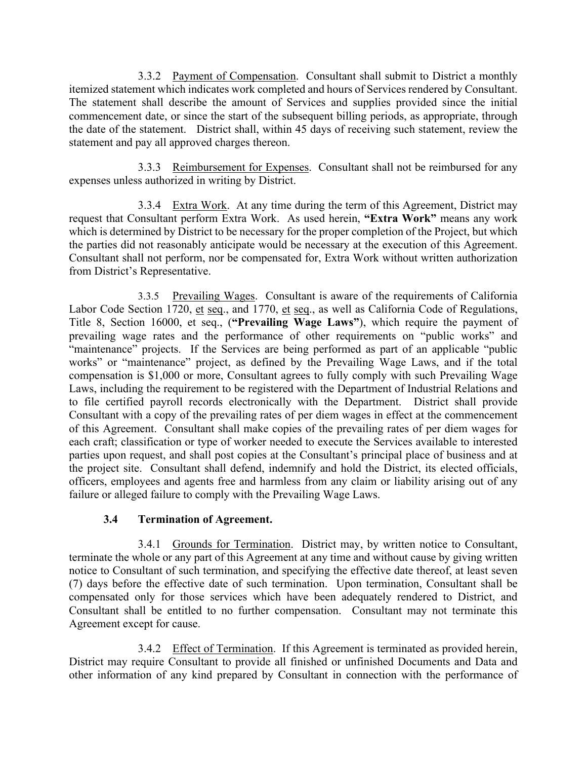3.3.2 Payment of Compensation. Consultant shall submit to District a monthly itemized statement which indicates work completed and hours of Services rendered by Consultant. The statement shall describe the amount of Services and supplies provided since the initial commencement date, or since the start of the subsequent billing periods, as appropriate, through the date of the statement. District shall, within 45 days of receiving such statement, review the statement and pay all approved charges thereon.

3.3.3 Reimbursement for Expenses. Consultant shall not be reimbursed for any expenses unless authorized in writing by District.

3.3.4 Extra Work. At any time during the term of this Agreement, District may request that Consultant perform Extra Work. As used herein, **"Extra Work"** means any work which is determined by District to be necessary for the proper completion of the Project, but which the parties did not reasonably anticipate would be necessary at the execution of this Agreement. Consultant shall not perform, nor be compensated for, Extra Work without written authorization from District's Representative.

3.3.5 Prevailing Wages. Consultant is aware of the requirements of California Labor Code Section 1720, et seq., and 1770, et seq., as well as California Code of Regulations, Title 8, Section 16000, et seq., (**"Prevailing Wage Laws"**), which require the payment of prevailing wage rates and the performance of other requirements on "public works" and "maintenance" projects. If the Services are being performed as part of an applicable "public works" or "maintenance" project, as defined by the Prevailing Wage Laws, and if the total compensation is \$1,000 or more, Consultant agrees to fully comply with such Prevailing Wage Laws, including the requirement to be registered with the Department of Industrial Relations and to file certified payroll records electronically with the Department. District shall provide Consultant with a copy of the prevailing rates of per diem wages in effect at the commencement of this Agreement. Consultant shall make copies of the prevailing rates of per diem wages for each craft; classification or type of worker needed to execute the Services available to interested parties upon request, and shall post copies at the Consultant's principal place of business and at the project site. Consultant shall defend, indemnify and hold the District, its elected officials, officers, employees and agents free and harmless from any claim or liability arising out of any failure or alleged failure to comply with the Prevailing Wage Laws.

### **3.4 Termination of Agreement.**

3.4.1 Grounds for Termination. District may, by written notice to Consultant, terminate the whole or any part of this Agreement at any time and without cause by giving written notice to Consultant of such termination, and specifying the effective date thereof, at least seven (7) days before the effective date of such termination. Upon termination, Consultant shall be compensated only for those services which have been adequately rendered to District, and Consultant shall be entitled to no further compensation. Consultant may not terminate this Agreement except for cause.

3.4.2 Effect of Termination. If this Agreement is terminated as provided herein, District may require Consultant to provide all finished or unfinished Documents and Data and other information of any kind prepared by Consultant in connection with the performance of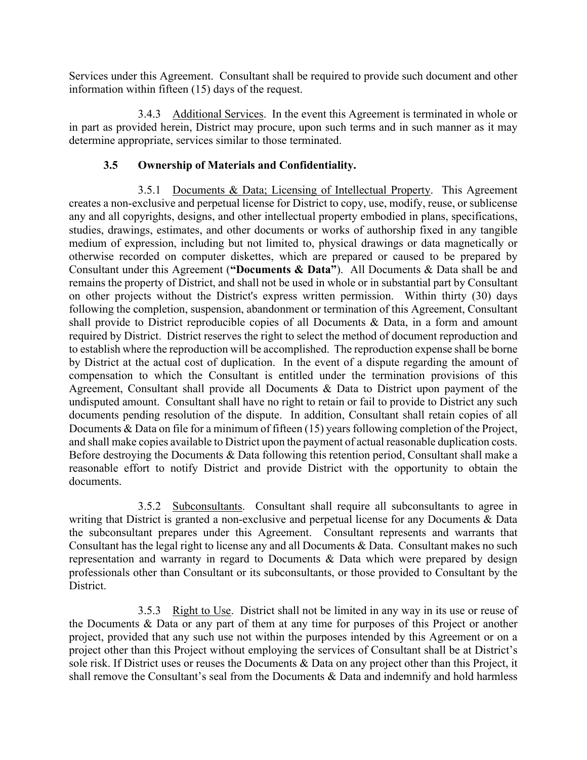Services under this Agreement. Consultant shall be required to provide such document and other information within fifteen (15) days of the request.

3.4.3 Additional Services. In the event this Agreement is terminated in whole or in part as provided herein, District may procure, upon such terms and in such manner as it may determine appropriate, services similar to those terminated.

### **3.5 Ownership of Materials and Confidentiality.**

3.5.1 Documents & Data; Licensing of Intellectual Property. This Agreement creates a non-exclusive and perpetual license for District to copy, use, modify, reuse, or sublicense any and all copyrights, designs, and other intellectual property embodied in plans, specifications, studies, drawings, estimates, and other documents or works of authorship fixed in any tangible medium of expression, including but not limited to, physical drawings or data magnetically or otherwise recorded on computer diskettes, which are prepared or caused to be prepared by Consultant under this Agreement (**"Documents & Data"**). All Documents & Data shall be and remains the property of District, and shall not be used in whole or in substantial part by Consultant on other projects without the District's express written permission. Within thirty (30) days following the completion, suspension, abandonment or termination of this Agreement, Consultant shall provide to District reproducible copies of all Documents & Data, in a form and amount required by District. District reserves the right to select the method of document reproduction and to establish where the reproduction will be accomplished. The reproduction expense shall be borne by District at the actual cost of duplication. In the event of a dispute regarding the amount of compensation to which the Consultant is entitled under the termination provisions of this Agreement, Consultant shall provide all Documents & Data to District upon payment of the undisputed amount. Consultant shall have no right to retain or fail to provide to District any such documents pending resolution of the dispute. In addition, Consultant shall retain copies of all Documents & Data on file for a minimum of fifteen (15) years following completion of the Project, and shall make copies available to District upon the payment of actual reasonable duplication costs. Before destroying the Documents & Data following this retention period, Consultant shall make a reasonable effort to notify District and provide District with the opportunity to obtain the documents.

3.5.2 Subconsultants. Consultant shall require all subconsultants to agree in writing that District is granted a non-exclusive and perpetual license for any Documents & Data the subconsultant prepares under this Agreement. Consultant represents and warrants that Consultant has the legal right to license any and all Documents & Data. Consultant makes no such representation and warranty in regard to Documents & Data which were prepared by design professionals other than Consultant or its subconsultants, or those provided to Consultant by the District.

3.5.3 Right to Use. District shall not be limited in any way in its use or reuse of the Documents & Data or any part of them at any time for purposes of this Project or another project, provided that any such use not within the purposes intended by this Agreement or on a project other than this Project without employing the services of Consultant shall be at District's sole risk. If District uses or reuses the Documents & Data on any project other than this Project, it shall remove the Consultant's seal from the Documents & Data and indemnify and hold harmless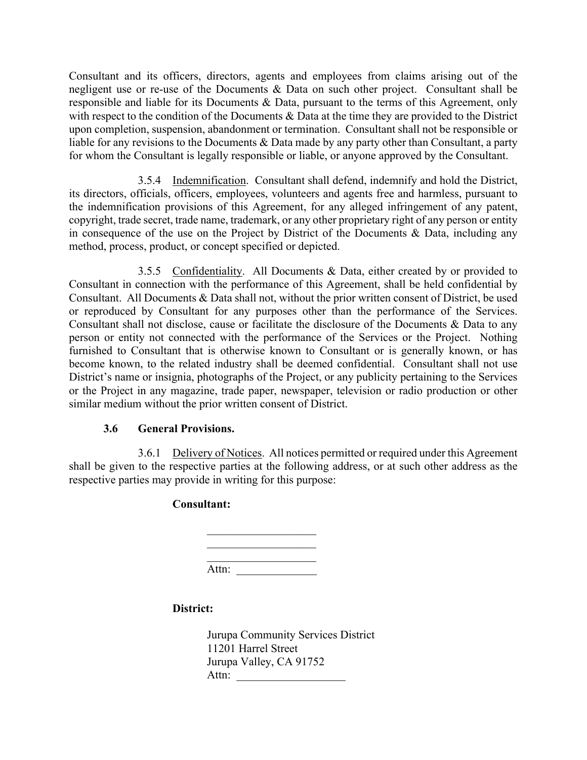Consultant and its officers, directors, agents and employees from claims arising out of the negligent use or re-use of the Documents & Data on such other project. Consultant shall be responsible and liable for its Documents & Data, pursuant to the terms of this Agreement, only with respect to the condition of the Documents & Data at the time they are provided to the District upon completion, suspension, abandonment or termination. Consultant shall not be responsible or liable for any revisions to the Documents & Data made by any party other than Consultant, a party for whom the Consultant is legally responsible or liable, or anyone approved by the Consultant.

3.5.4 Indemnification. Consultant shall defend, indemnify and hold the District, its directors, officials, officers, employees, volunteers and agents free and harmless, pursuant to the indemnification provisions of this Agreement, for any alleged infringement of any patent, copyright, trade secret, trade name, trademark, or any other proprietary right of any person or entity in consequence of the use on the Project by District of the Documents & Data, including any method, process, product, or concept specified or depicted.

3.5.5 Confidentiality. All Documents & Data, either created by or provided to Consultant in connection with the performance of this Agreement, shall be held confidential by Consultant. All Documents & Data shall not, without the prior written consent of District, be used or reproduced by Consultant for any purposes other than the performance of the Services. Consultant shall not disclose, cause or facilitate the disclosure of the Documents & Data to any person or entity not connected with the performance of the Services or the Project. Nothing furnished to Consultant that is otherwise known to Consultant or is generally known, or has become known, to the related industry shall be deemed confidential. Consultant shall not use District's name or insignia, photographs of the Project, or any publicity pertaining to the Services or the Project in any magazine, trade paper, newspaper, television or radio production or other similar medium without the prior written consent of District.

### **3.6 General Provisions.**

3.6.1 Delivery of Notices. All notices permitted or required under this Agreement shall be given to the respective parties at the following address, or at such other address as the respective parties may provide in writing for this purpose:

### **Consultant:**

| Attn: |  |  |
|-------|--|--|

### **District:**

Jurupa Community Services District 11201 Harrel Street Jurupa Valley, CA 91752 Attn: \_\_\_\_\_\_\_\_\_\_\_\_\_\_\_\_\_\_\_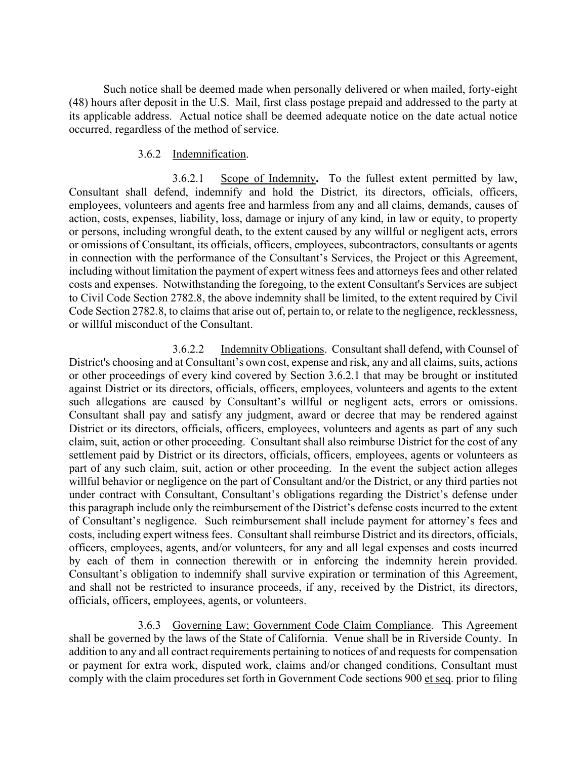Such notice shall be deemed made when personally delivered or when mailed, forty-eight (48) hours after deposit in the U.S. Mail, first class postage prepaid and addressed to the party at its applicable address. Actual notice shall be deemed adequate notice on the date actual notice occurred, regardless of the method of service.

### 3.6.2 Indemnification.

3.6.2.1 Scope of Indemnity**.** To the fullest extent permitted by law, Consultant shall defend, indemnify and hold the District, its directors, officials, officers, employees, volunteers and agents free and harmless from any and all claims, demands, causes of action, costs, expenses, liability, loss, damage or injury of any kind, in law or equity, to property or persons, including wrongful death, to the extent caused by any willful or negligent acts, errors or omissions of Consultant, its officials, officers, employees, subcontractors, consultants or agents in connection with the performance of the Consultant's Services, the Project or this Agreement, including without limitation the payment of expert witness fees and attorneys fees and other related costs and expenses. Notwithstanding the foregoing, to the extent Consultant's Services are subject to Civil Code Section 2782.8, the above indemnity shall be limited, to the extent required by Civil Code Section 2782.8, to claims that arise out of, pertain to, or relate to the negligence, recklessness, or willful misconduct of the Consultant.

3.6.2.2 Indemnity Obligations.Consultant shall defend, with Counsel of District's choosing and at Consultant's own cost, expense and risk, any and all claims, suits, actions or other proceedings of every kind covered by Section 3.6.2.1 that may be brought or instituted against District or its directors, officials, officers, employees, volunteers and agents to the extent such allegations are caused by Consultant's willful or negligent acts, errors or omissions. Consultant shall pay and satisfy any judgment, award or decree that may be rendered against District or its directors, officials, officers, employees, volunteers and agents as part of any such claim, suit, action or other proceeding. Consultant shall also reimburse District for the cost of any settlement paid by District or its directors, officials, officers, employees, agents or volunteers as part of any such claim, suit, action or other proceeding. In the event the subject action alleges willful behavior or negligence on the part of Consultant and/or the District, or any third parties not under contract with Consultant, Consultant's obligations regarding the District's defense under this paragraph include only the reimbursement of the District's defense costs incurred to the extent of Consultant's negligence. Such reimbursement shall include payment for attorney's fees and costs, including expert witness fees. Consultant shall reimburse District and its directors, officials, officers, employees, agents, and/or volunteers, for any and all legal expenses and costs incurred by each of them in connection therewith or in enforcing the indemnity herein provided. Consultant's obligation to indemnify shall survive expiration or termination of this Agreement, and shall not be restricted to insurance proceeds, if any, received by the District, its directors, officials, officers, employees, agents, or volunteers.

3.6.3 Governing Law; Government Code Claim Compliance. This Agreement shall be governed by the laws of the State of California. Venue shall be in Riverside County. In addition to any and all contract requirements pertaining to notices of and requests for compensation or payment for extra work, disputed work, claims and/or changed conditions, Consultant must comply with the claim procedures set forth in Government Code sections 900 et seq. prior to filing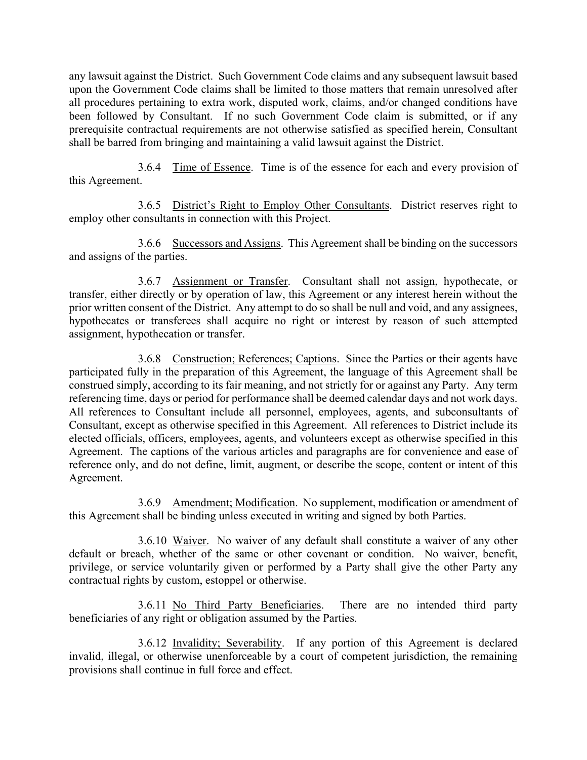any lawsuit against the District. Such Government Code claims and any subsequent lawsuit based upon the Government Code claims shall be limited to those matters that remain unresolved after all procedures pertaining to extra work, disputed work, claims, and/or changed conditions have been followed by Consultant. If no such Government Code claim is submitted, or if any prerequisite contractual requirements are not otherwise satisfied as specified herein, Consultant shall be barred from bringing and maintaining a valid lawsuit against the District.

3.6.4 Time of Essence. Time is of the essence for each and every provision of this Agreement.

3.6.5 District's Right to Employ Other Consultants. District reserves right to employ other consultants in connection with this Project.

3.6.6 Successors and Assigns. This Agreement shall be binding on the successors and assigns of the parties.

3.6.7 Assignment or Transfer. Consultant shall not assign, hypothecate, or transfer, either directly or by operation of law, this Agreement or any interest herein without the prior written consent of the District. Any attempt to do so shall be null and void, and any assignees, hypothecates or transferees shall acquire no right or interest by reason of such attempted assignment, hypothecation or transfer.

3.6.8 Construction; References; Captions. Since the Parties or their agents have participated fully in the preparation of this Agreement, the language of this Agreement shall be construed simply, according to its fair meaning, and not strictly for or against any Party. Any term referencing time, days or period for performance shall be deemed calendar days and not work days. All references to Consultant include all personnel, employees, agents, and subconsultants of Consultant, except as otherwise specified in this Agreement. All references to District include its elected officials, officers, employees, agents, and volunteers except as otherwise specified in this Agreement. The captions of the various articles and paragraphs are for convenience and ease of reference only, and do not define, limit, augment, or describe the scope, content or intent of this Agreement.

3.6.9 Amendment; Modification. No supplement, modification or amendment of this Agreement shall be binding unless executed in writing and signed by both Parties.

3.6.10 Waiver. No waiver of any default shall constitute a waiver of any other default or breach, whether of the same or other covenant or condition. No waiver, benefit, privilege, or service voluntarily given or performed by a Party shall give the other Party any contractual rights by custom, estoppel or otherwise.

3.6.11 No Third Party Beneficiaries. There are no intended third party beneficiaries of any right or obligation assumed by the Parties.

3.6.12 Invalidity; Severability. If any portion of this Agreement is declared invalid, illegal, or otherwise unenforceable by a court of competent jurisdiction, the remaining provisions shall continue in full force and effect.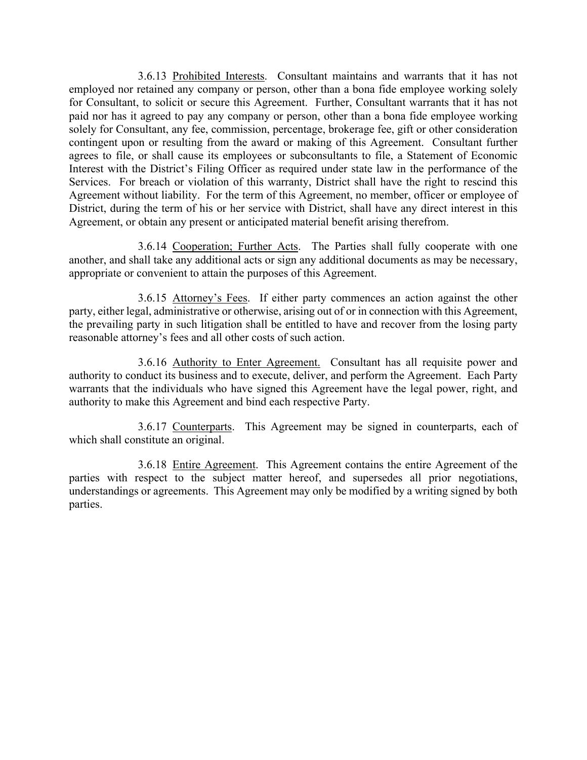3.6.13 Prohibited Interests. Consultant maintains and warrants that it has not employed nor retained any company or person, other than a bona fide employee working solely for Consultant, to solicit or secure this Agreement. Further, Consultant warrants that it has not paid nor has it agreed to pay any company or person, other than a bona fide employee working solely for Consultant, any fee, commission, percentage, brokerage fee, gift or other consideration contingent upon or resulting from the award or making of this Agreement. Consultant further agrees to file, or shall cause its employees or subconsultants to file, a Statement of Economic Interest with the District's Filing Officer as required under state law in the performance of the Services. For breach or violation of this warranty, District shall have the right to rescind this Agreement without liability. For the term of this Agreement, no member, officer or employee of District, during the term of his or her service with District, shall have any direct interest in this Agreement, or obtain any present or anticipated material benefit arising therefrom.

3.6.14 Cooperation; Further Acts. The Parties shall fully cooperate with one another, and shall take any additional acts or sign any additional documents as may be necessary, appropriate or convenient to attain the purposes of this Agreement.

3.6.15 Attorney's Fees. If either party commences an action against the other party, either legal, administrative or otherwise, arising out of or in connection with this Agreement, the prevailing party in such litigation shall be entitled to have and recover from the losing party reasonable attorney's fees and all other costs of such action.

3.6.16 Authority to Enter Agreement. Consultant has all requisite power and authority to conduct its business and to execute, deliver, and perform the Agreement. Each Party warrants that the individuals who have signed this Agreement have the legal power, right, and authority to make this Agreement and bind each respective Party.

3.6.17 Counterparts. This Agreement may be signed in counterparts, each of which shall constitute an original.

3.6.18 Entire Agreement. This Agreement contains the entire Agreement of the parties with respect to the subject matter hereof, and supersedes all prior negotiations, understandings or agreements. This Agreement may only be modified by a writing signed by both parties.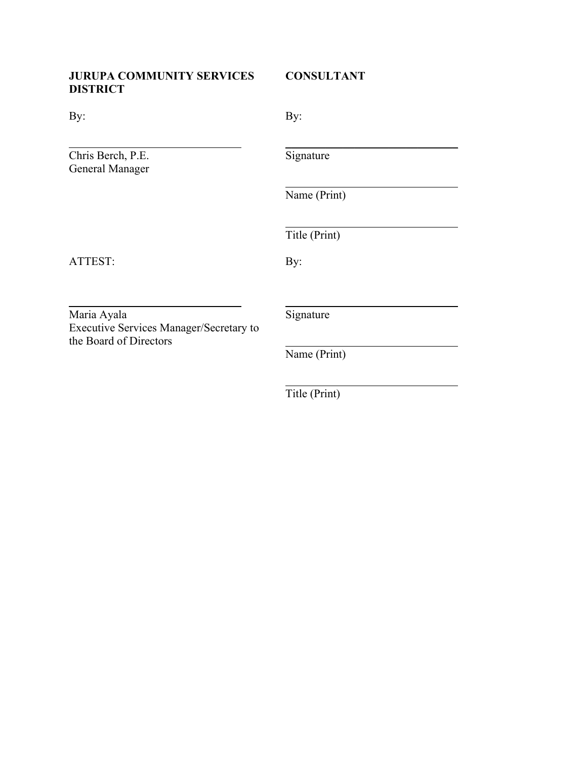### **JURUPA COMMUNITY SERVICES CONSULTANT DISTRICT**

| By:                                                                              | By:           |
|----------------------------------------------------------------------------------|---------------|
| Chris Berch, P.E.<br><b>General Manager</b>                                      | Signature     |
|                                                                                  | Name (Print)  |
|                                                                                  | Title (Print) |
| ATTEST:                                                                          | By:           |
|                                                                                  |               |
| Maria Ayala<br>Executive Services Manager/Secretary to<br>the Board of Directors | Signature     |
|                                                                                  | Name (Print)  |
|                                                                                  | Title (Print) |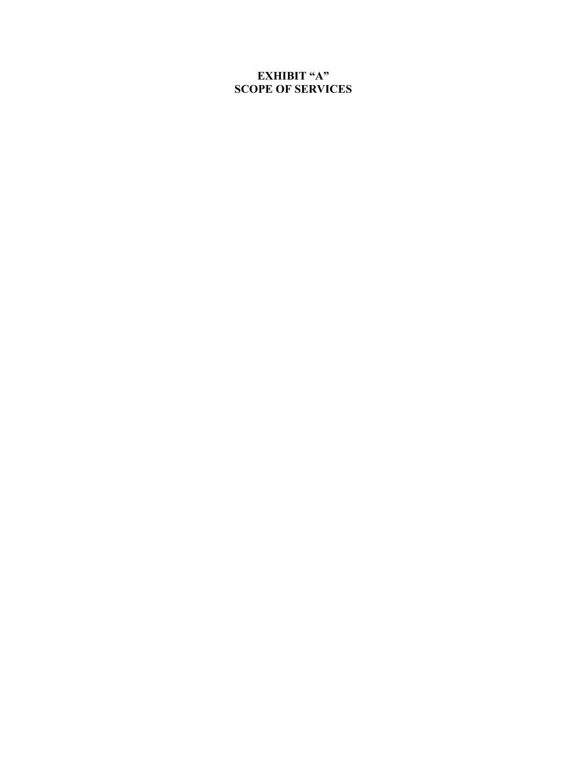### **EXHIBIT "A" SCOPE OF SERVICES**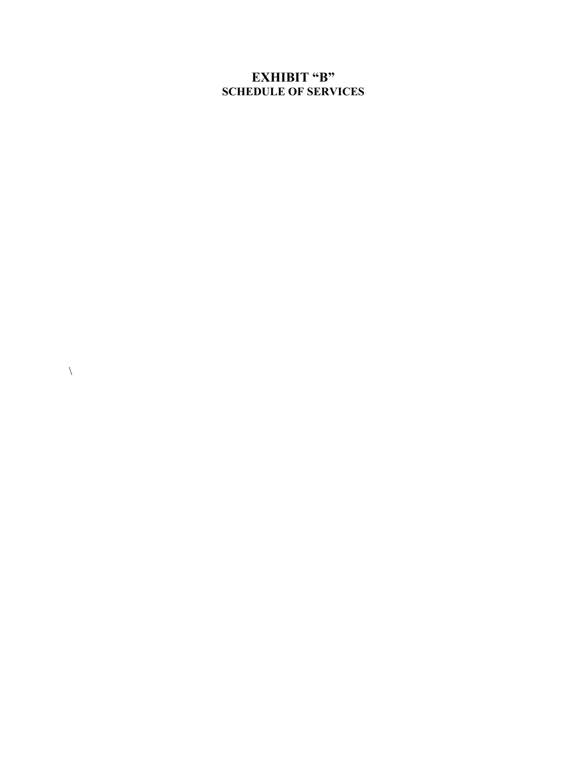### **EXHIBIT "B" SCHEDULE OF SERVICES**

 $\lambda$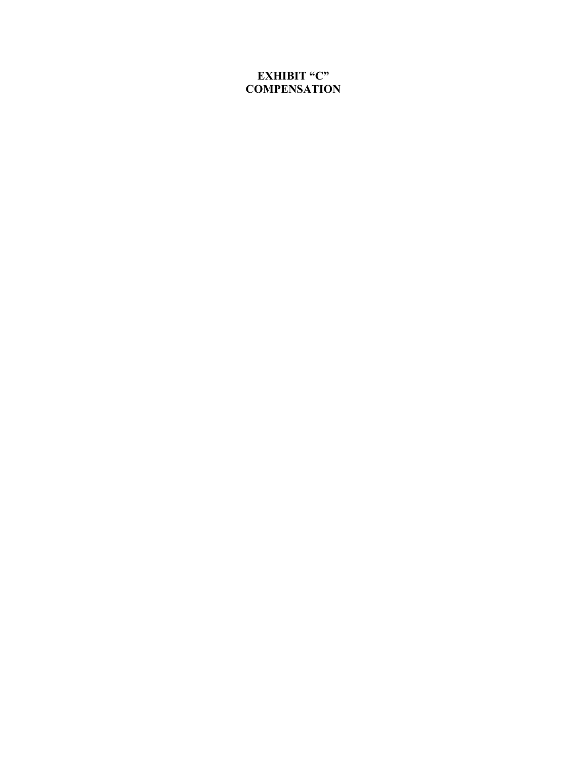### **EXHIBIT "C" COMPENSATION**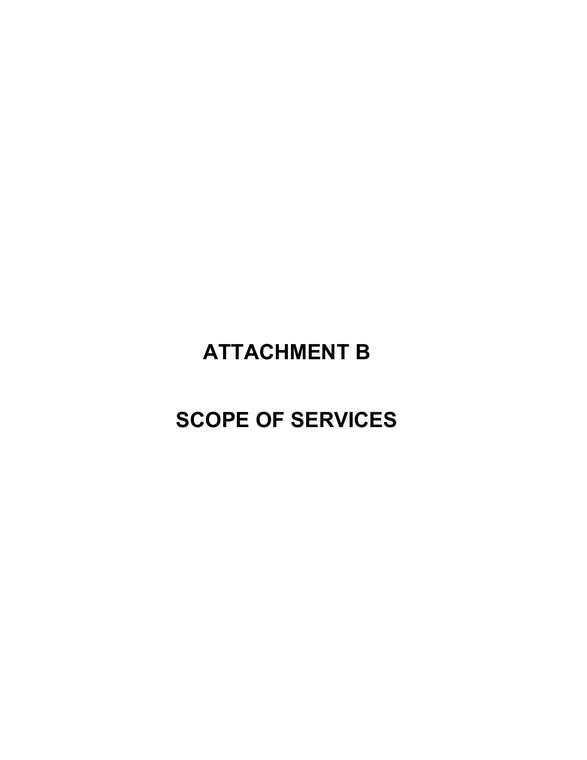# **ATTACHMENT B**

# **SCOPE OF SERVICES**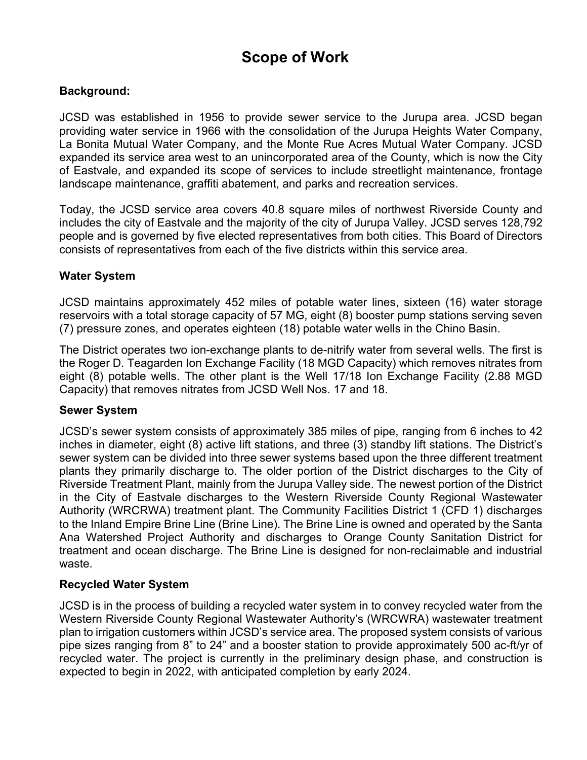## **Scope of Work**

### **Background:**

JCSD was established in 1956 to provide sewer service to the Jurupa area. JCSD began providing water service in 1966 with the consolidation of the Jurupa Heights Water Company, La Bonita Mutual Water Company, and the Monte Rue Acres Mutual Water Company. JCSD expanded its service area west to an unincorporated area of the County, which is now the City of Eastvale, and expanded its scope of services to include streetlight maintenance, frontage landscape maintenance, graffiti abatement, and parks and recreation services.

Today, the JCSD service area covers 40.8 square miles of northwest Riverside County and includes the city of Eastvale and the majority of the city of Jurupa Valley. JCSD serves 128,792 people and is governed by five elected representatives from both cities. This Board of Directors consists of representatives from each of the five districts within this service area.

### **Water System**

JCSD maintains approximately 452 miles of potable water lines, sixteen (16) water storage reservoirs with a total storage capacity of 57 MG, eight (8) booster pump stations serving seven (7) pressure zones, and operates eighteen (18) potable water wells in the Chino Basin.

The District operates two ion-exchange plants to de-nitrify water from several wells. The first is the Roger D. Teagarden Ion Exchange Facility (18 MGD Capacity) which removes nitrates from eight (8) potable wells. The other plant is the Well 17/18 Ion Exchange Facility (2.88 MGD Capacity) that removes nitrates from JCSD Well Nos. 17 and 18.

### **Sewer System**

JCSD's sewer system consists of approximately 385 miles of pipe, ranging from 6 inches to 42 inches in diameter, eight (8) active lift stations, and three (3) standby lift stations. The District's sewer system can be divided into three sewer systems based upon the three different treatment plants they primarily discharge to. The older portion of the District discharges to the City of Riverside Treatment Plant, mainly from the Jurupa Valley side. The newest portion of the District in the City of Eastvale discharges to the Western Riverside County Regional Wastewater Authority (WRCRWA) treatment plant. The Community Facilities District 1 (CFD 1) discharges to the Inland Empire Brine Line (Brine Line). The Brine Line is owned and operated by the Santa Ana Watershed Project Authority and discharges to Orange County Sanitation District for treatment and ocean discharge. The Brine Line is designed for non-reclaimable and industrial waste.

### **Recycled Water System**

JCSD is in the process of building a recycled water system in to convey recycled water from the Western Riverside County Regional Wastewater Authority's (WRCWRA) wastewater treatment plan to irrigation customers within JCSD's service area. The proposed system consists of various pipe sizes ranging from 8" to 24" and a booster station to provide approximately 500 ac-ft/yr of recycled water. The project is currently in the preliminary design phase, and construction is expected to begin in 2022, with anticipated completion by early 2024.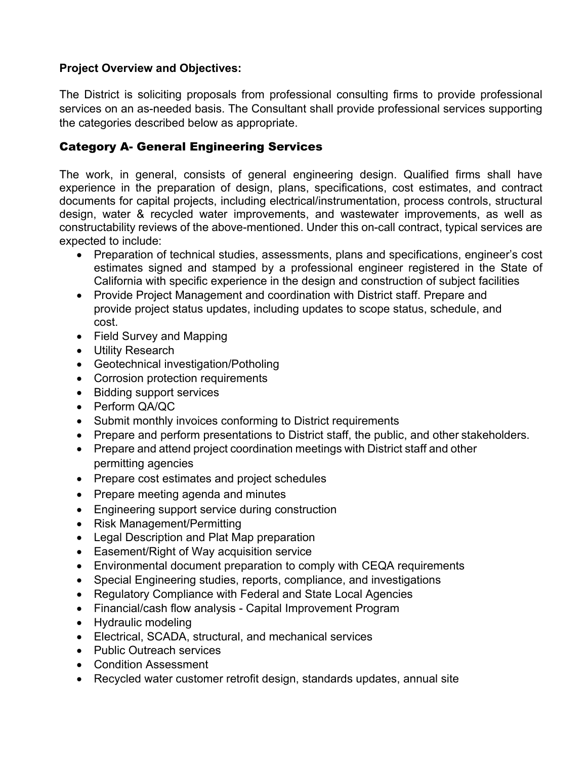### **Project Overview and Objectives:**

The District is soliciting proposals from professional consulting firms to provide professional services on an as-needed basis. The Consultant shall provide professional services supporting the categories described below as appropriate.

### Category A- General Engineering Services

The work, in general, consists of general engineering design. Qualified firms shall have experience in the preparation of design, plans, specifications, cost estimates, and contract documents for capital projects, including electrical/instrumentation, process controls, structural design, water & recycled water improvements, and wastewater improvements, as well as constructability reviews of the above-mentioned. Under this on-call contract, typical services are expected to include:

- Preparation of technical studies, assessments, plans and specifications, engineer's cost estimates signed and stamped by a professional engineer registered in the State of California with specific experience in the design and construction of subject facilities
- Provide Project Management and coordination with District staff. Prepare and provide project status updates, including updates to scope status, schedule, and cost.
- Field Survey and Mapping
- Utility Research
- Geotechnical investigation/Potholing
- Corrosion protection requirements
- Bidding support services
- Perform QA/QC
- Submit monthly invoices conforming to District requirements
- Prepare and perform presentations to District staff, the public, and other stakeholders.
- Prepare and attend project coordination meetings with District staff and other permitting agencies
- Prepare cost estimates and project schedules
- Prepare meeting agenda and minutes
- Engineering support service during construction
- Risk Management/Permitting
- Legal Description and Plat Map preparation
- Easement/Right of Way acquisition service
- Environmental document preparation to comply with CEQA requirements
- Special Engineering studies, reports, compliance, and investigations
- Regulatory Compliance with Federal and State Local Agencies
- Financial/cash flow analysis Capital Improvement Program
- Hydraulic modeling
- Electrical, SCADA, structural, and mechanical services
- Public Outreach services
- Condition Assessment
- Recycled water customer retrofit design, standards updates, annual site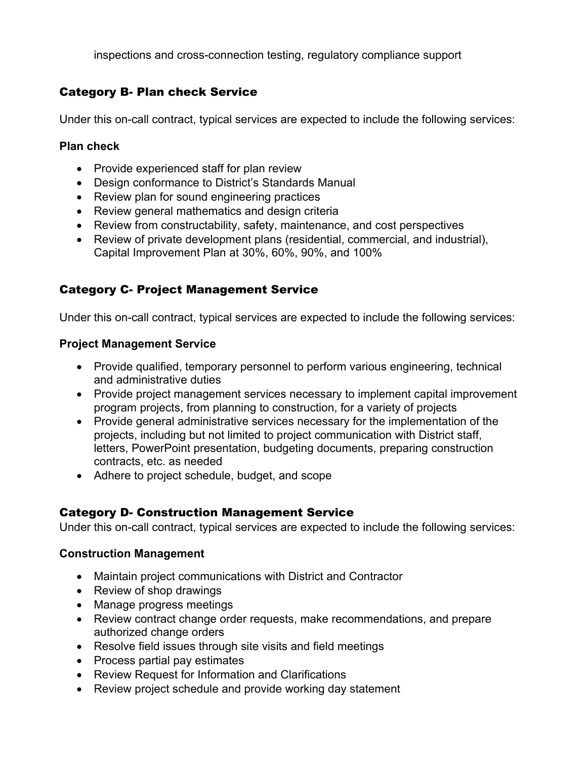inspections and cross-connection testing, regulatory compliance support

### Category B- Plan check Service

Under this on-call contract, typical services are expected to include the following services:

### **Plan check**

- Provide experienced staff for plan review
- Design conformance to District's Standards Manual
- Review plan for sound engineering practices
- Review general mathematics and design criteria
- Review from constructability, safety, maintenance, and cost perspectives
- Review of private development plans (residential, commercial, and industrial), Capital Improvement Plan at 30%, 60%, 90%, and 100%

### Category C- Project Management Service

Under this on-call contract, typical services are expected to include the following services:

### **Project Management Service**

- Provide qualified, temporary personnel to perform various engineering, technical and administrative duties
- Provide project management services necessary to implement capital improvement program projects, from planning to construction, for a variety of projects
- Provide general administrative services necessary for the implementation of the projects, including but not limited to project communication with District staff, letters, PowerPoint presentation, budgeting documents, preparing construction contracts, etc. as needed
- Adhere to project schedule, budget, and scope

### Category D- Construction Management Service

Under this on-call contract, typical services are expected to include the following services:

### **Construction Management**

- Maintain project communications with District and Contractor
- Review of shop drawings
- Manage progress meetings
- Review contract change order requests, make recommendations, and prepare authorized change orders
- Resolve field issues through site visits and field meetings
- Process partial pay estimates
- Review Request for Information and Clarifications
- Review project schedule and provide working day statement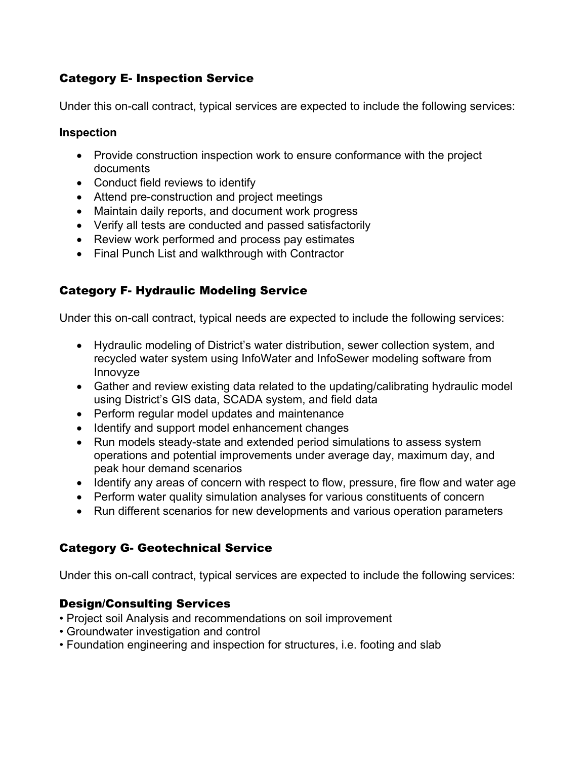### Category E- Inspection Service

Under this on-call contract, typical services are expected to include the following services:

### **Inspection**

- Provide construction inspection work to ensure conformance with the project documents
- Conduct field reviews to identify
- Attend pre-construction and project meetings
- Maintain daily reports, and document work progress
- Verify all tests are conducted and passed satisfactorily
- Review work performed and process pay estimates
- Final Punch List and walkthrough with Contractor

### Category F- Hydraulic Modeling Service

Under this on-call contract, typical needs are expected to include the following services:

- Hydraulic modeling of District's water distribution, sewer collection system, and recycled water system using InfoWater and InfoSewer modeling software from Innovyze
- Gather and review existing data related to the updating/calibrating hydraulic model using District's GIS data, SCADA system, and field data
- Perform regular model updates and maintenance
- Identify and support model enhancement changes
- Run models steady-state and extended period simulations to assess system operations and potential improvements under average day, maximum day, and peak hour demand scenarios
- Identify any areas of concern with respect to flow, pressure, fire flow and water age
- Perform water quality simulation analyses for various constituents of concern
- Run different scenarios for new developments and various operation parameters

### Category G- Geotechnical Service

Under this on-call contract, typical services are expected to include the following services:

### Design/Consulting Services

- Project soil Analysis and recommendations on soil improvement
- Groundwater investigation and control
- Foundation engineering and inspection for structures, i.e. footing and slab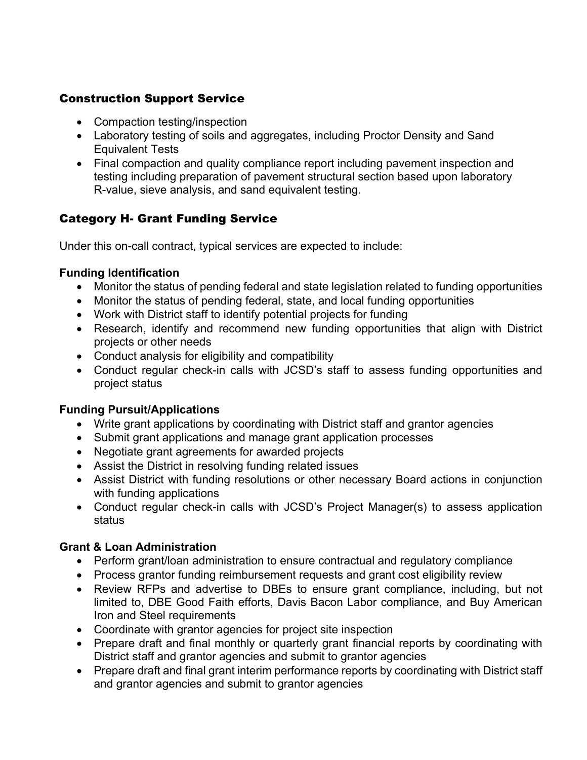### Construction Support Service

- Compaction testing/inspection
- Laboratory testing of soils and aggregates, including Proctor Density and Sand Equivalent Tests
- Final compaction and quality compliance report including pavement inspection and testing including preparation of pavement structural section based upon laboratory R-value, sieve analysis, and sand equivalent testing.

### Category H- Grant Funding Service

Under this on-call contract, typical services are expected to include:

### **Funding Identification**

- Monitor the status of pending federal and state legislation related to funding opportunities
- Monitor the status of pending federal, state, and local funding opportunities
- Work with District staff to identify potential projects for funding
- Research, identify and recommend new funding opportunities that align with District projects or other needs
- Conduct analysis for eligibility and compatibility
- Conduct regular check-in calls with JCSD's staff to assess funding opportunities and project status

### **Funding Pursuit/Applications**

- Write grant applications by coordinating with District staff and grantor agencies
- Submit grant applications and manage grant application processes
- Negotiate grant agreements for awarded projects
- Assist the District in resolving funding related issues
- Assist District with funding resolutions or other necessary Board actions in conjunction with funding applications
- Conduct regular check-in calls with JCSD's Project Manager(s) to assess application status

### **Grant & Loan Administration**

- Perform grant/loan administration to ensure contractual and regulatory compliance
- Process grantor funding reimbursement requests and grant cost eligibility review
- Review RFPs and advertise to DBEs to ensure grant compliance, including, but not limited to, DBE Good Faith efforts, Davis Bacon Labor compliance, and Buy American Iron and Steel requirements
- Coordinate with grantor agencies for project site inspection
- Prepare draft and final monthly or quarterly grant financial reports by coordinating with District staff and grantor agencies and submit to grantor agencies
- Prepare draft and final grant interim performance reports by coordinating with District staff and grantor agencies and submit to grantor agencies